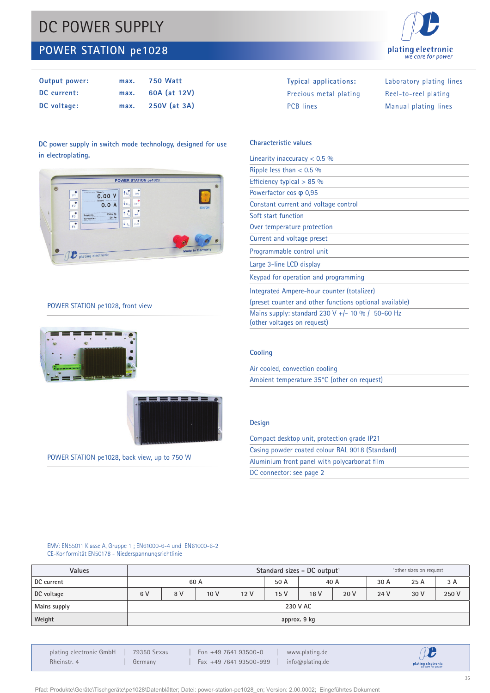# DC POWER SUPPLY

# **POWER STATION pe1028**



| Output power: | max. | <b>750 Watt</b> | Typical applications:  | Laboratory plating lines |
|---------------|------|-----------------|------------------------|--------------------------|
| DC current:   | max. | 60A (at 12V)    | Precious metal plating | Reel-to-reel plating     |
| DC voltage:   | max. | 250V (at 3A)    | <b>PCB</b> lines       | Manual plating lines     |

## **DC power supply in switch mode technology, designed for use in electroplating.**



### POWER STATION pe1028, front view





POWER STATION pe1028, back view, up to 750 W

## **Characteristic values**

| Linearity inaccuracy $< 0.5$ %                                                  |
|---------------------------------------------------------------------------------|
| Ripple less than $< 0.5$ %                                                      |
| Efficiency typical $> 85$ %                                                     |
| Powerfactor cos $\varphi$ 0,95                                                  |
| Constant current and voltage control                                            |
| Soft start function                                                             |
| Over temperature protection                                                     |
| Current and voltage preset                                                      |
| Programmable control unit                                                       |
| Large 3-line LCD display                                                        |
| Keypad for operation and programming                                            |
| Integrated Ampere-hour counter (totalizer)                                      |
| (preset counter and other functions optional available)                         |
| Mains supply: standard 230 V +/- 10 % / 50-60 Hz<br>(other voltages on request) |
|                                                                                 |

### **Cooling**

Air cooled, convection cooling Ambient temperature 35°C (other on request)

### **Design**

| Compact desktop unit, protection grade IP21     |  |
|-------------------------------------------------|--|
| Casing powder coated colour RAL 9018 (Standard) |  |
| Aluminium front panel with polycarbonat film    |  |
| DC connector: see page 2                        |  |
|                                                 |  |

### EMV: EN55011 Klasse A, Gruppe 1 ; EN61000-6-4 und EN61000-6-2 CE-Konformität EN50178 - Niederspannungsrichtlinie

| Values       | Standard sizes - DC output <sup>1</sup><br><sup>1</sup> other sizes on request |     |                 |                 |      |      |      |      |      |       |
|--------------|--------------------------------------------------------------------------------|-----|-----------------|-----------------|------|------|------|------|------|-------|
| DC current   | 60 A                                                                           |     |                 | 50 A            | 40 A |      | 30 A | 25 A | 3 A  |       |
| DC voltage   | 6V                                                                             | 8 V | 10 <sub>V</sub> | 12 <sub>V</sub> | 15 V | 18 V | 20 V | 24 V | 30 V | 250 V |
| Mains supply | 230 V AC                                                                       |     |                 |                 |      |      |      |      |      |       |
| Weight       | approx. 9 kg                                                                   |     |                 |                 |      |      |      |      |      |       |

| plating electronic GmbH | 79350 Sexau | Fon +49 7641 93500-0   | www.plating.de  | $\bm{\mathcal{D}}$                      |
|-------------------------|-------------|------------------------|-----------------|-----------------------------------------|
| Rheinstr. 4             | Germany     | Fax +49 7641 93500-999 | info@plating.de | plating electronic<br>we care for power |